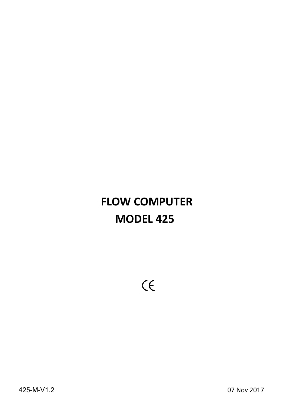# **FLOW COMPUTER MODEL 425**

 $C \in$ 

07 Nov 2017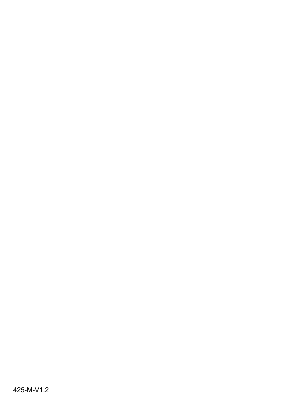425-M-V1.2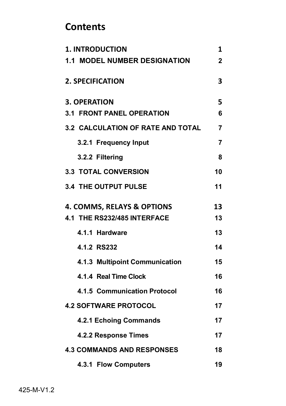# **Contents**

| <b>1. INTRODUCTION</b>                | 1              |
|---------------------------------------|----------------|
| <b>1.1 MODEL NUMBER DESIGNATION</b>   | $\overline{2}$ |
| <b>2. SPECIFICATION</b>               | 3              |
| <b>3. OPERATION</b>                   | 5              |
| <b>3.1 FRONT PANEL OPERATION</b>      | 6              |
| 3.2 CALCULATION OF RATE AND TOTAL     | $\overline{7}$ |
| 3.2.1 Frequency Input                 | $\overline{7}$ |
| 3.2.2 Filtering                       | 8              |
| <b>3.3 TOTAL CONVERSION</b>           | 10             |
| <b>3.4 THE OUTPUT PULSE</b>           | 11             |
| <b>4. COMMS, RELAYS &amp; OPTIONS</b> | 13             |
| 4.1 THE RS232/485 INTERFACE           | 13             |
| 4.1.1 Hardware                        | 13             |
| 4.1.2 RS232                           | 14             |
| 4.1.3 Multipoint Communication        | 15             |
| 4.1.4 Real Time Clock                 | 16             |
| 4.1.5 Communication Protocol          | 16             |
| <b>4.2 SOFTWARE PROTOCOL</b>          | 17             |
| 4.2.1 Echoing Commands                | 17             |
| 4.2.2 Response Times                  | 17             |
| <b>4.3 COMMANDS AND RESPONSES</b>     | 18             |
| 4.3.1 Flow Computers                  | 19             |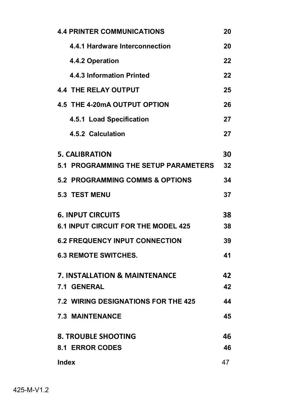| <b>4.4 PRINTER COMMUNICATIONS</b>           | 20 |
|---------------------------------------------|----|
| 4.4.1 Hardware Interconnection              | 20 |
| 4.4.2 Operation                             | 22 |
| 4.4.3 Information Printed                   | 22 |
| <b>4.4 THE RELAY OUTPUT</b>                 | 25 |
| 4.5 THE 4-20mA OUTPUT OPTION                | 26 |
| 4.5.1 Load Specification                    | 27 |
| 4.5.2 Calculation                           | 27 |
| <b>5. CALIBRATION</b>                       | 30 |
| <b>5.1 PROGRAMMING THE SETUP PARAMETERS</b> | 32 |
| 5.2 PROGRAMMING COMMS & OPTIONS             | 34 |
| <b>5.3 TEST MENU</b>                        | 37 |
| <b>6. INPUT CIRCUITS</b>                    | 38 |
| <b>6.1 INPUT CIRCUIT FOR THE MODEL 425</b>  | 38 |
| <b>6.2 FREQUENCY INPUT CONNECTION</b>       | 39 |
| <b>6.3 REMOTE SWITCHES.</b>                 | 41 |
| 7. INSTALLATION & MAINTENANCE               | 42 |
| <b>7.1 GENERAL</b>                          | 42 |
| <b>7.2 WIRING DESIGNATIONS FOR THE 425</b>  | 44 |
| <b>7.3 MAINTENANCE</b>                      | 45 |
| <b>8. TROUBLE SHOOTING</b>                  | 46 |
| <b>8.1 ERROR CODES</b>                      | 46 |
| Index                                       | 47 |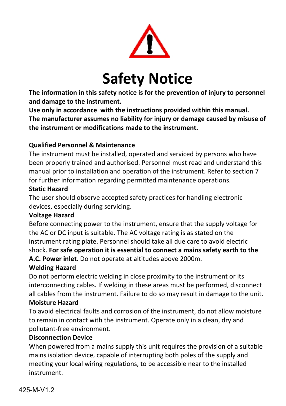

# **Safety Notice**

**The information in this safety notice is for the prevention of injury to personnel and damage to the instrument.**

**Use only in accordance with the instructions provided within this manual. The manufacturer assumes no liability for injury or damage caused by misuse of the instrument or modifications made to the instrument.**

# **Qualified Personnel & Maintenance**

The instrument must be installed, operated and serviced by persons who have been properly trained and authorised. Personnel must read and understand this manual prior to installation and operation of the instrument. Refer to section 7 for further information regarding permitted maintenance operations.

#### **Static Hazard**

The user should observe accepted safety practices for handling electronic devices, especially during servicing.

### **Voltage Hazard**

Before connecting power to the instrument, ensure that the supply voltage for the AC or DC input is suitable. The AC voltage rating is as stated on the instrument rating plate. Personnel should take all due care to avoid electric shock. **For safe operation it is essential to connect a mains safety earth to the A.C. Power inlet.** Do not operate at altitudes above 2000m.

# **Welding Hazard**

Do not perform electric welding in close proximity to the instrument or its interconnecting cables. If welding in these areas must be performed, disconnect all cables from the instrument. Failure to do so may result in damage to the unit.

### **Moisture Hazard**

To avoid electrical faults and corrosion of the instrument, do not allow moisture to remain in contact with the instrument. Operate only in a clean, dry and pollutant-free environment.

### **Disconnection Device**

When powered from a mains supply this unit requires the provision of a suitable mains isolation device, capable of interrupting both poles of the supply and meeting your local wiring regulations, to be accessible near to the installed instrument.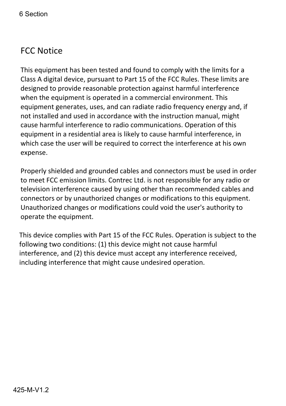# FCC Notice

This equipment has been tested and found to comply with the limits for a Class A digital device, pursuant to Part 15 of the FCC Rules. These limits are designed to provide reasonable protection against harmful interference when the equipment is operated in a commercial environment. This equipment generates, uses, and can radiate radio frequency energy and, if not installed and used in accordance with the instruction manual, might cause harmful interference to radio communications. Operation of this equipment in a residential area is likely to cause harmful interference, in which case the user will be required to correct the interference at his own expense.

Properly shielded and grounded cables and connectors must be used in order to meet FCC emission limits. Contrec Ltd. is not responsible for any radio or television interference caused by using other than recommended cables and connectors or by unauthorized changes or modifications to this equipment. Unauthorized changes or modifications could void the user's authority to operate the equipment.

This device complies with Part 15 of the FCC Rules. Operation is subject to the following two conditions: (1) this device might not cause harmful interference, and (2) this device must accept any interference received, including interference that might cause undesired operation.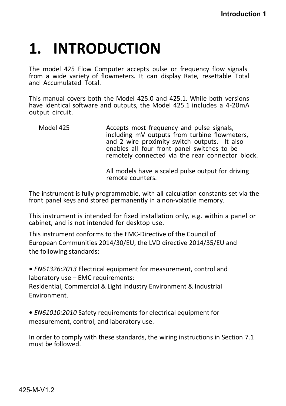# **1. INTRODUCTION**

The model 425 Flow Computer accepts pulse or frequency flow signals from a wide variety of flowmeters. It can display Rate, resettable Total and Accumulated Total.

This manual covers both the Model 425.0 and 425.1. While both versions have identical software and outputs, the Model 425.1 includes a 4-20mA output circuit.

Model 425 Accepts most frequency and pulse signals, including mV outputs from turbine flowmeters, and 2 wire proximity switch outputs. It also enables all four front panel switches to be remotely connected via the rear connector block.

> All models have a scaled pulse output for driving remote counters.

The instrument is fully programmable, with all calculation constants set via the front panel keys and stored permanently in a non-volatile memory.

This instrument is intended for fixed installation only, e.g. within a panel or cabinet, and is not intended for desktop use.

This instrument conforms to the EMC-Directive of the Council of European Communities 2014/30/EU, the LVD directive 2014/35/EU and the following standards:

**•** *EN61326:2013* Electrical equipment for measurement, control and laboratory use – EMC requirements:

Residential, Commercial & Light Industry Environment & Industrial Environment.

**•** *EN61010:2010* Safety requirements for electrical equipment for measurement, control, and laboratory use.

In order to comply with these standards, the wiring instructions in Section 7.1 must be followed<sup>'</sup>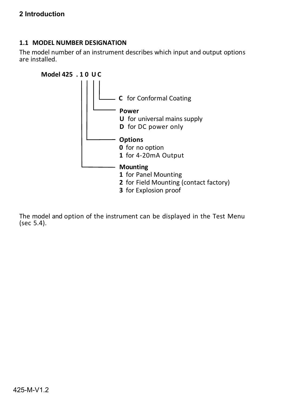#### **1.1 MODEL NUMBER DESIGNATION**

The model number of an instrument describes which input and output options are installed.



The model and option of the instrument can be displayed in the Test Menu (sec 5.4).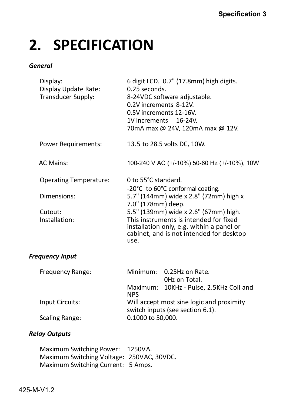# **2. SPECIFICATION**

#### *General*

| Display:<br>Display Update Rate:<br>Transducer Supply: | 6 digit LCD. 0.7" (17.8mm) high digits.<br>0.25 seconds.<br>8-24VDC software adjustable.<br>0.2V increments 8-12V.<br>0.5V increments 12-16V.<br>1V increments 16-24V.<br>70mA max @ 24V, 120mA max @ 12V. |
|--------------------------------------------------------|------------------------------------------------------------------------------------------------------------------------------------------------------------------------------------------------------------|
| Power Requirements:                                    | 13.5 to 28.5 volts DC, 10W.                                                                                                                                                                                |
| <b>AC Mains:</b>                                       | 100-240 V AC (+/-10%) 50-60 Hz (+/-10%), 10W                                                                                                                                                               |
| <b>Operating Temperature:</b>                          | 0 to 55°C standard.<br>-20°C to 60°C conformal coating.                                                                                                                                                    |
| Dimensions:                                            | 5.7" (144mm) wide x 2.8" (72mm) high x<br>7.0" (178mm) deep.                                                                                                                                               |
| Cutout:<br>Installation:                               | 5.5" (139mm) wide x 2.6" (67mm) high.<br>This instruments is intended for fixed<br>installation only, e.g. within a panel or<br>cabinet, and is not intended for desktop<br>use.                           |
| <b>Frequency Input</b>                                 |                                                                                                                                                                                                            |
| Frequency Range:                                       | Minimum:<br>0.25Hz on Rate.<br>OHz on Total.                                                                                                                                                               |
|                                                        | 10KHz - Pulse, 2.5KHz Coil and<br>Maximum:<br><b>NPS</b>                                                                                                                                                   |
|                                                        |                                                                                                                                                                                                            |

Input Circuits: Will accept most sine logic and proximity switch inputs (see section 6.1). Scaling Range: 0.1000 to 50,000.

#### *Relay Outputs*

Maximum Switching Power: 1250VA. Maximum Switching Voltage: 250VAC, 30VDC. Maximum Switching Current: 5 Amps.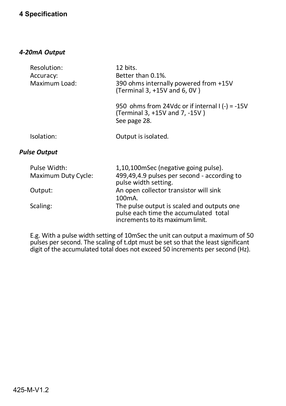### **4 Specification**

#### *4-20mA Output*

| Resolution:<br>Accuracy:<br>Maximum Load: | 12 bits.<br>Better than 0.1%.<br>390 ohms internally powered from +15V<br>(Terminal 3, +15V and 6, 0V) |
|-------------------------------------------|--------------------------------------------------------------------------------------------------------|
|                                           | 950 ohms from 24Vdc or if internal $(-) = -15V$<br>(Terminal 3, +15V and 7, -15V)<br>See page 28.      |
| Isolation:                                | Output is isolated.                                                                                    |
| <b>Pulse Output</b>                       |                                                                                                        |

| Pulse Width:        | 1,10,100 mSec (negative going pulse).                                                                                   |
|---------------------|-------------------------------------------------------------------------------------------------------------------------|
| Maximum Duty Cycle: | 499,49,4.9 pulses per second - according to<br>pulse width setting.                                                     |
| Output:             | An open collector transistor will sink                                                                                  |
|                     | 100 <sub>m</sub> A.                                                                                                     |
| Scaling:            | The pulse output is scaled and outputs one<br>pulse each time the accumulated total<br>increments to its maximum limit. |

E.g. With a pulse width setting of 10mSec the unit can output a maximum of 50 pulses per second. The scaling of t.dpt must be set so that the least significant digit of the accumulated total does not exceed 50 increments per second (Hz).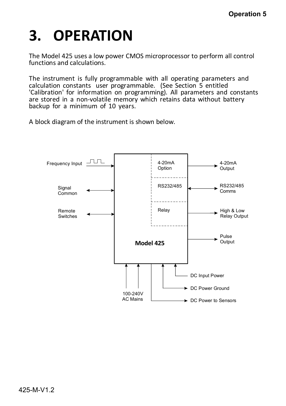# **3. OPERATION**

The Model 425 uses a low power CMOS microprocessor to perform all control functions and calculations.

The instrument is fully programmable with all operating parameters and calculation constants user programmable. (See Section 5 entitled 'Calibration' for information on programming). All parameters and constants are stored in a non-volatile memory which retains data without battery backup for a minimum of 10 years.

A block diagram of the instrument is shown below.

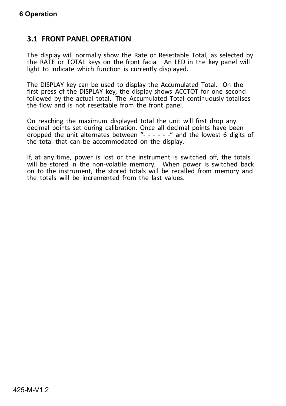# **3.1 FRONT PANEL OPERATION**

The display will normally show the Rate or Resettable Total, as selected by the RATE or TOTAL keys on the front facia. An LED in the key panel will light to indicate which function is currently displayed.

The DISPLAY key can be used to display the Accumulated Total. On the first press of the DISPLAY key, the display shows ACCTOT for one second followed by the actual total. The Accumulated Total continuously totalises the flow and is not resettable from the front panel.

On reaching the maximum displayed total the unit will first drop any decimal points set during calibration. Once all decimal points have been dropped the unit alternates between "- - - - - -" and the lowest 6 digits of the total that can be accommodated on the display.

If, at any time, power is lost or the instrument is switched off, the totals will be stored in the non-volatile memory. When power is switched back on to the instrument, the stored totals will be recalled from memory and the totals will be incremented from the last values.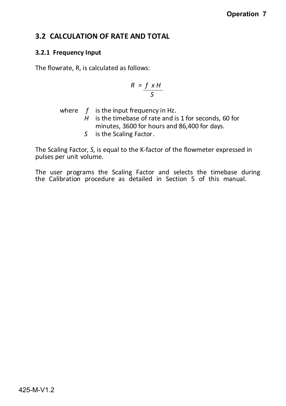# **3.2 CALCULATION OF RATE AND TOTAL**

#### **3.2.1 Frequency Input**

The flowrate, R, is calculated as follows:

$$
R = \frac{f \times H}{S}
$$

where *f* is the input frequency in Hz.

*H* is the timebase of rate and is 1 for seconds, 60 for minutes, 3600 for hours and 86,400 for days.

*S* is the Scaling Factor.

The Scaling Factor, *S*, is equal to the K-factor of the flowmeter expressed in pulses per unit volume.

The user programs the Scaling Factor and selects the timebase during the Calibration procedure as detailed in Section 5 of this manual.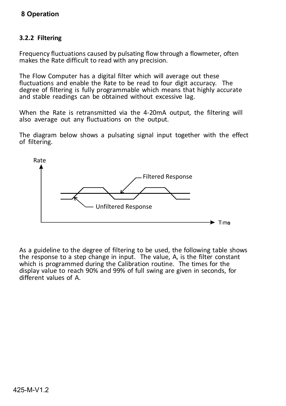### **8 Operation**

#### **3.2.2 Filtering**

Frequency fluctuations caused by pulsating flow through a flowmeter, often makes the Rate difficult to read with any precision.

The Flow Computer has a digital filter which will average out these fluctuations and enable the Rate to be read to four digit accuracy. The degree of filtering is fully programmable which means that highly accurate and stable readings can be obtained without excessive lag.

When the Rate is retransmitted via the 4-20mA output, the filtering will also average out any fluctuations on the output.

The diagram below shows a pulsating signal input together with the effect of filtering.



As a guideline to the degree of filtering to be used, the following table shows the response to a step change in input. The value, A, is the filter constant which is programmed during the Calibration routine. The times for the display value to reach 90% and 99% of full swing are given in seconds, for different values of A.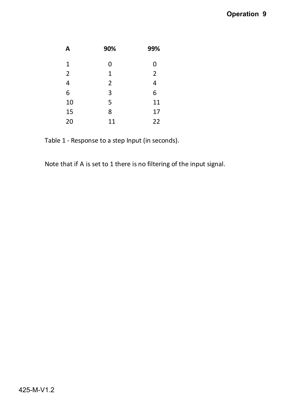# **Operation 9**

| A            | 90% | 99%            |
|--------------|-----|----------------|
| $\mathbf{1}$ | 0   | 0              |
| 2            | 1   | $\overline{2}$ |
| 4            | 2   | 4              |
| 6            | 3   | 6              |
| 10           | 5   | 11             |
| 15           | 8   | 17             |
| 20           | 11  | 22             |

Table 1 - Response to a step Input (in seconds).

Note that if A is set to 1 there is no filtering of the input signal.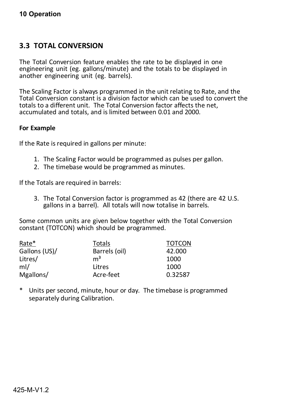# **3.3 TOTAL CONVERSION**

The Total Conversion feature enables the rate to be displayed in one engineering unit (eg. gallons/minute) and the totals to be displayed in another engineering unit (eg. barrels).

The Scaling Factor is always programmed in the unit relating to Rate, and the Total Conversion constant is a division factor which can be used to convert the totals to a different unit. The Total Conversion factor affects the net, accumulated and totals, and is limited between 0.01 and 2000.

#### **For Example**

If the Rate is required in gallons per minute:

- 1. The Scaling Factor would be programmed as pulses per gallon.
- 2. The timebase would be programmed as minutes.

If the Totals are required in barrels:

3. The Total Conversion factor is programmed as 42 (there are 42 U.S. gallons in a barrel). All totals will now totalise in barrels.

Some common units are given below together with the Total Conversion constant (TOTCON) which should be programmed.

| Rate*         | Totals         | <b>TOTCON</b> |
|---------------|----------------|---------------|
| Gallons (US)/ | Barrels (oil)  | 42.000        |
| Litres/       | $\mathsf{m}^3$ | 1000          |
| ml/           | Litres         | 1000          |
| Mgallons/     | Acre-feet      | 0.32587       |

\* Units per second, minute, hour or day. The timebase is programmed separately during Calibration.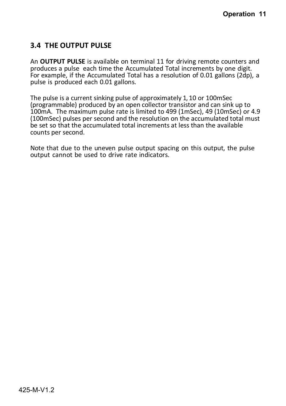# **3.4 THE OUTPUT PULSE**

An **OUTPUT PULSE** is available on terminal 11 for driving remote counters and produces a pulse each time the Accumulated Total increments by one digit. For example, if the Accumulated Total has a resolution of 0.01 gallons (2dp), a pulse is produced each 0.01 gallons.

The pulse is a current sinking pulse of approximately 1, 10 or 100mSec (programmable) produced by an open collector transistor and can sink up to 100mA. The maximum pulse rate is limited to 499 (1mSec), 49 (10mSec) or 4.9 (100mSec) pulses per second and the resolution on the accumulated total must be set so that the accumulated total increments at less than the available counts per second.

Note that due to the uneven pulse output spacing on this output, the pulse output cannot be used to drive rate indicators.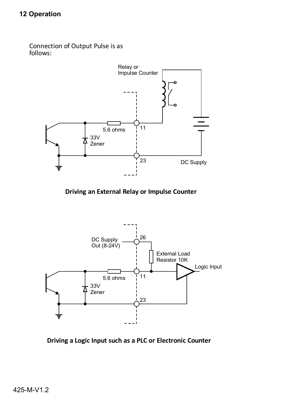Connection of Output Pulse is as follows:



**Driving an External Relay or Impulse Counter**



**Driving a Logic Input such as a PLC or Electronic Counter**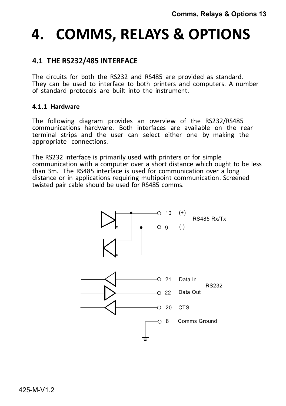# **4. COMMS, RELAYS & OPTIONS**

# **4.1 THE RS232/485 INTERFACE**

The circuits for both the RS232 and RS485 are provided as standard. They can be used to interface to both printers and computers. A number of standard protocols are built into the instrument.

#### **4.1.1 Hardware**

The following diagram provides an overview of the RS232/RS485 communications hardware. Both interfaces are available on the rear terminal strips and the user can select either one by making the appropriate connections.

The RS232 interface is primarily used with printers or for simple communication with a computer over a short distance which ought to be less than 3m. The RS485 interface is used for communication over a long distance or in applications requiring multipoint communication. Screened twisted pair cable should be used for RS485 comms.

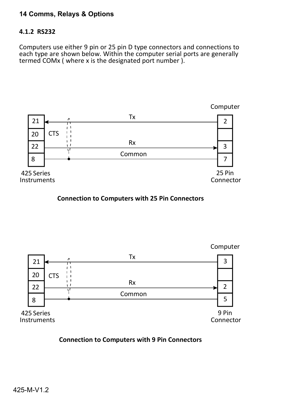### **14 Comms, Relays & Options**

#### **4.1.2 RS232**

Computers use either 9 pin or 25 pin D type connectors and connections to each type are shown below. Within the computer serial ports are generally termed COMx ( where x is the designated port number ).



**Connection to Computers with 25 Pin Connectors**



#### **Connection to Computers with 9 Pin Connectors**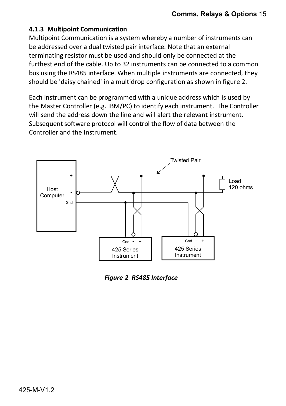#### **4.1.3 Multipoint Communication**

Multipoint Communication is a system whereby a number of instruments can be addressed over a dual twisted pair interface. Note that an external terminating resistor must be used and should only be connected at the furthest end of the cable. Up to 32 instruments can be connected to a common bus using the RS485 interface. When multiple instruments are connected, they should be 'daisy chained' in a multidrop configuration as shown in figure 2.

Each instrument can be programmed with a unique address which is used by the Master Controller (e.g. IBM/PC) to identify each instrument. The Controller will send the address down the line and will alert the relevant instrument. Subsequent software protocol will control the flow of data between the Controller and the Instrument.



*Figure 2 RS485 Interface*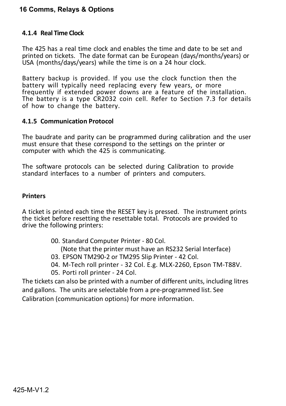#### **16 Comms, Relays & Options**

#### **4.1.4 Real Time Clock**

The 425 has a real time clock and enables the time and date to be set and printed on tickets. The date format can be European (days/months/years) or USA (months/days/years) while the time is on a 24 hour clock.

Battery backup is provided. If you use the clock function then the battery will typically need replacing every few years, or more frequently if extended power downs are a feature of the installation. The battery is a type CR2032 coin cell. Refer to Section 7.3 for details of how to change the battery.

#### **4.1.5 Communication Protocol**

The baudrate and parity can be programmed during calibration and the user must ensure that these correspond to the settings on the printer or computer with which the 425 is communicating.

The software protocols can be selected during Calibration to provide standard interfaces to a number of printers and computers.

#### **Printers**

A ticket is printed each time the RESET key is pressed. The instrument prints the ticket before resetting the resettable total. Protocols are provided to drive the following printers:

00. Standard Computer Printer - 80 Col.

(Note that the printer must have an RS232 Serial Interface)

- 03. EPSON TM290-2 or TM295 Slip Printer 42 Col.
- 04. M-Tech roll printer 32 Col. E.g. MLX-2260, Epson TM-T88V.
- 05. Porti roll printer 24 Col.

The tickets can also be printed with a number of different units, including litres and gallons. The units are selectable from a pre-programmed list. See Calibration (communication options) for more information.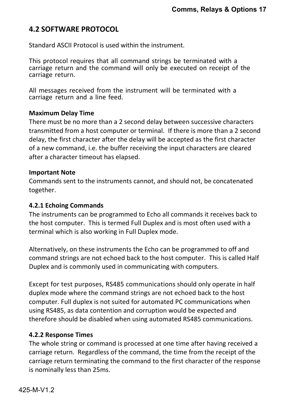# **4.2 SOFTWARE PROTOCOL**

Standard ASCII Protocol is used within the instrument.

This protocol requires that all command strings be terminated with a carriage return and the command will only be executed on receipt of the carriage return.

All messages received from the instrument will be terminated with a carriage return and a line feed.

#### **Maximum Delay Time**

There must be no more than a 2 second delay between successive characters transmitted from a host computer or terminal. If there is more than a 2 second delay, the first character after the delay will be accepted as the first character of a new command, i.e. the buffer receiving the input characters are cleared after a character timeout has elapsed.

#### **Important Note**

Commands sent to the instruments cannot, and should not, be concatenated together.

#### **4.2.1 Echoing Commands**

The instruments can be programmed to Echo all commands it receives back to the host computer. This is termed Full Duplex and is most often used with a terminal which is also working in Full Duplex mode.

Alternatively, on these instruments the Echo can be programmed to off and command strings are not echoed back to the host computer. This is called Half Duplex and is commonly used in communicating with computers.

Except for test purposes, RS485 communications should only operate in half duplex mode where the command strings are not echoed back to the host computer. Full duplex is not suited for automated PC communications when using RS485, as data contention and corruption would be expected and therefore should be disabled when using automated RS485 communications.

#### **4.2.2 Response Times**

The whole string or command is processed at one time after having received a carriage return. Regardless of the command, the time from the receipt of the carriage return terminating the command to the first character of the response is nominally less than 25ms.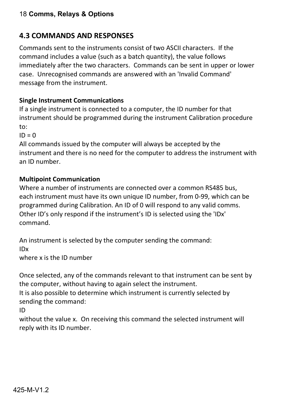# 18 **Comms, Relays & Options**

# **4.3 COMMANDS AND RESPONSES**

Commands sent to the instruments consist of two ASCII characters. If the command includes a value (such as a batch quantity), the value follows immediately after the two characters. Commands can be sent in upper or lower case. Unrecognised commands are answered with an 'Invalid Command' message from the instrument.

#### **Single Instrument Communications**

If a single instrument is connected to a computer, the ID number for that instrument should be programmed during the instrument Calibration procedure to:

 $ID = 0$ 

All commands issued by the computer will always be accepted by the instrument and there is no need for the computer to address the instrument with an ID number.

#### **Multipoint Communication**

Where a number of instruments are connected over a common RS485 bus, each instrument must have its own unique ID number, from 0-99, which can be programmed during Calibration. An ID of 0 will respond to any valid comms. Other ID's only respond if the instrument's ID is selected using the 'IDx' command.

An instrument is selected by the computer sending the command: IDx

where x is the ID number

Once selected, any of the commands relevant to that instrument can be sent by the computer, without having to again select the instrument.

It is also possible to determine which instrument is currently selected by sending the command:

ID

without the value x. On receiving this command the selected instrument will reply with its ID number.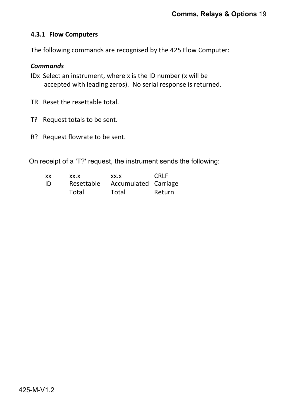#### **4.3.1 Flow Computers**

The following commands are recognised by the 425 Flow Computer:

#### *Commands*

- IDx Select an instrument, where x is the ID number (x will be accepted with leading zeros). No serial response is returned.
- TR Reset the resettable total.
- T? Request totals to be sent.
- R? Request flowrate to be sent.

On receipt of a 'T?' request, the instrument sends the following:

| XX | XX.X       | XX.X                 | CRI F  |
|----|------------|----------------------|--------|
| ID | Resettable | Accumulated Carriage |        |
|    | Total      | Total                | Return |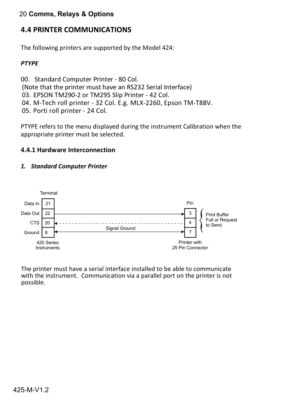## 20 **Comms, Relays & Options**

# **4.4 PRINTER COMMUNICATIONS**

The following printers are supported by the Model 424:

#### *PTYPE*

00. Standard Computer Printer - 80 Col. (Note that the printer must have an RS232 Serial Interface) 03. EPSON TM290-2 or TM295 Slip Printer - 42 Col. 04. M-Tech roll printer - 32 Col. E.g. MLX-2260, Epson TM-T88V. 05. Porti roll printer - 24 Col.

PTYPE refers to the menu displayed during the instrument Calibration when the appropriate printer must be selected.

#### **4.4.1 Hardware Interconnection**

#### *1. Standard Computer Printer*



The printer must have a serial interface installed to be able to communicate with the instrument. Communication via a parallel port on the printer is not possible.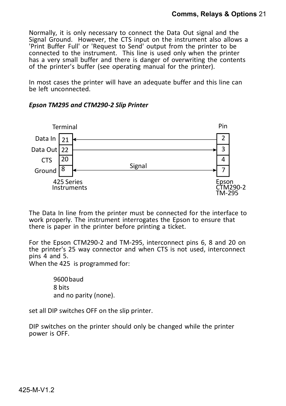Normally, it is only necessary to connect the Data Out signal and the Signal Ground. However, the CTS input on the instrument also allows a 'Print Buffer Full' or 'Request to Send' output from the printer to be connected to the instrument. This line is used only when the printer has a very small buffer and there is danger of overwriting the contents of the printer's buffer (see operating manual for the printer).

In most cases the printer will have an adequate buffer and this line can be left unconnected.



#### *Epson TM295 and CTM290-2 Slip Printer*

The Data In line from the printer must be connected for the interface to work properly. The instrument interrogates the Epson to ensure that there is paper in the printer before printing a ticket.

For the Epson CTM290-2 and TM-295, interconnect pins 6, 8 and 20 on the printer's 25 way connector and when CTS is not used, interconnect pins 4 and 5.

When the 425 is programmed for:

9600 baud 8 bits and no parity (none).

set all DIP switches OFF on the slip printer.

DIP switches on the printer should only be changed while the printer power is OFF.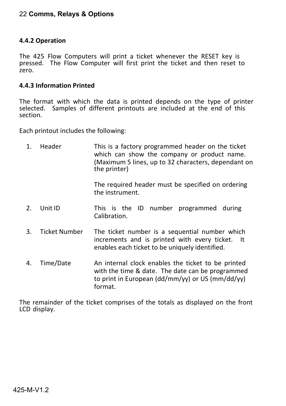#### 22 **Comms, Relays & Options**

#### **4.4.2 Operation**

The 425 Flow Computers will print a ticket whenever the RESET key is pressed. The Flow Computer will first print the ticket and then reset to zero.

#### **4.4.3 Information Printed**

The format with which the data is printed depends on the type of printer selected. Samples of different printouts are included at the end of this section.

Each printout includes the following:

| 1. | Header               | This is a factory programmed header on the ticket<br>which can show the company or product name.<br>(Maximum 5 lines, up to 32 characters, dependant on<br>the printer) |
|----|----------------------|-------------------------------------------------------------------------------------------------------------------------------------------------------------------------|
|    |                      | The required header must be specified on ordering<br>the instrument.                                                                                                    |
| 2. | Unit ID              | This is the ID number programmed during<br>Calibration.                                                                                                                 |
| 3. | <b>Ticket Number</b> | The ticket number is a sequential number which<br>increments and is printed with every ticket. It<br>enables each ticket to be uniquely identified.                     |
| 4. | Time/Date            | An internal clock enables the ticket to be printed<br>with the time & date. The date can be programmed<br>to print in European (dd/mm/yy) or US (mm/dd/yy)<br>format.   |

The remainder of the ticket comprises of the totals as displayed on the front LCD display.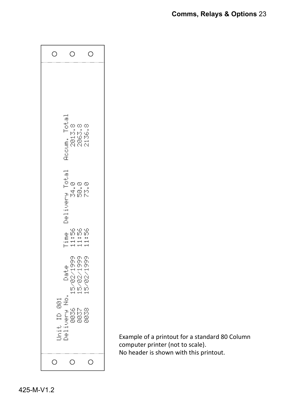| О                                      | O                                            | О                                                |
|----------------------------------------|----------------------------------------------|--------------------------------------------------|
|                                        | <br>ia<br>D⊃<br>ω<br>2013.                   | -00<br>-99<br>2063.<br>2136.                     |
|                                        | <b>Accum.</b><br>                            | യയ                                               |
|                                        | Delivery Total<br>34.0                       | a<br>Sp                                          |
|                                        | Q)<br>e<br>$\approx$ .<br>Ē<br>Ë             | ယ္ယယ္<br>In In In<br>$\frac{1}{1}$ $\frac{1}{1}$ |
|                                        | Date<br>Date                                 | 02213899<br>110217999<br>1102021                 |
| $\frac{1}{2}$<br>$\triangle$<br>İ<br>İ | ġ<br><b>Digital</b><br>8837<br>883<br>i<br>2 | 0038                                             |
| О                                      | $\circ$                                      | $\circ$                                          |

Example of a printout for a standard 80 Column computer printer (not to scale). No header is shown with this printout.

425-M-V1.2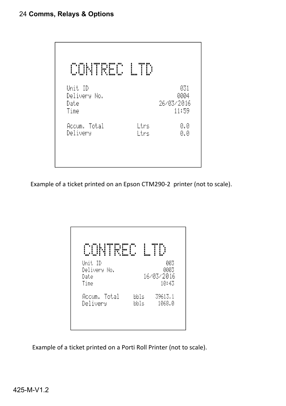| CONTREC                                 | L<br>TD      |                                    |
|-----------------------------------------|--------------|------------------------------------|
| Unit ID<br>Delivery No.<br>Date<br>Time |              | 031<br>0004<br>26/03/2016<br>11:59 |
| Accum. Total<br>Delivery                | Ltrs<br>Ltrs | 0.0<br>0.0                         |

Example of a ticket printed on an Epson CTM290-2 printer (not to scale).

| Ť<br>Unit ID |      | 003        |
|--------------|------|------------|
| Delivery No. |      | 8003       |
| Date         |      | 16/03/2016 |
| Time         |      | 10:43      |
| Accum. Total | bbls | 39613.1    |
| Delivery     | bbls | 1068.0     |

Example of a ticket printed on a Porti Roll Printer (not to scale).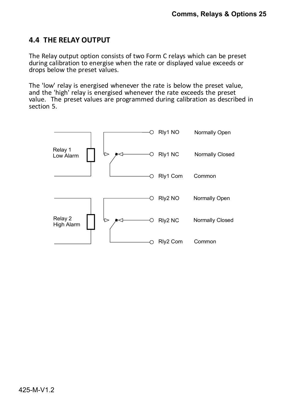# **4.4 THE RELAY OUTPUT**

The Relay output option consists of two Form C relays which can be preset during calibration to energise when the rate or displayed value exceeds or drops below the preset values.

The 'low' relay is energised whenever the rate is below the preset value, and the 'high' relay is energised whenever the rate exceeds the preset value. The preset values are programmed during calibration as described in section 5.

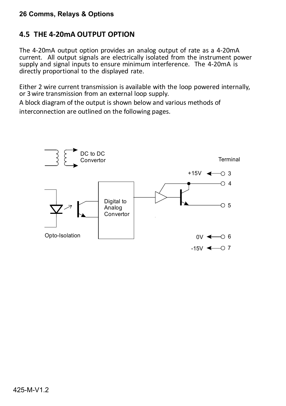# **4.5 THE 4-20mA OUTPUT OPTION**

The 4-20mA output option provides an analog output of rate as a 4-20mA current. All output signals are electrically isolated from the instrument power supply and signal inputs to ensure minimum interference. The 4-20mA is directly proportional to the displayed rate.

Either 2 wire current transmission is available with the loop powered internally, or 3 wire transmission from an external loop supply.

A block diagram of the output is shown below and various methods of interconnection are outlined on the following pages.

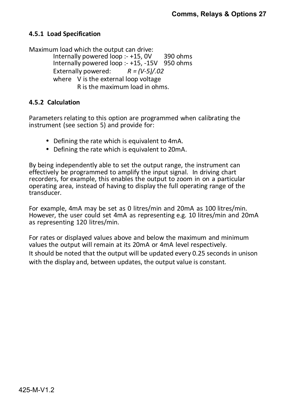#### **4.5.1 Load Specification**

Maximum load which the output can drive:

Internally powered loop  $: +15$ , 0V 390 ohms Internally powered loop :- +15, -15V 950 ohms<br>Externally powered:  $R = (V-5)/0.02$ Externally powered: where V is the external loop voltage R is the maximum load in ohms.

#### **4.5.2 Calculation**

Parameters relating to this option are programmed when calibrating the instrument (see section 5) and provide for:

- Defining the rate which is equivalent to 4mA.
- Defining the rate which is equivalent to 20mA.

By being independently able to set the output range, the instrument can effectively be programmed to amplify the input signal. In driving chart recorders, for example, this enables the output to zoom in on a particular operating area, instead of having to display the full operating range of the transducer.

For example, 4mA may be set as 0 litres/min and 20mA as 100 litres/min. However, the user could set 4mA as representing e.g. 10 litres/min and 20mA as representing 120 litres/min.

For rates or displayed values above and below the maximum and minimum values the output will remain at its 20mA or 4mA level respectively. It should be noted that the output will be updated every 0.25 seconds in unison with the display and, between updates, the output value is constant.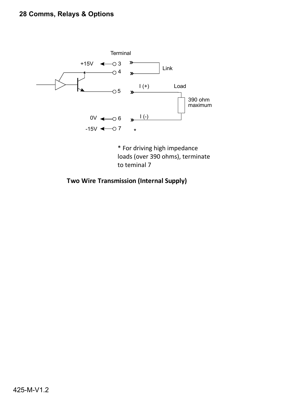# **28 Comms, Relays & Options**



\* For driving high impedance loads (over 390 ohms), terminate to teminal 7

**Two Wire Transmission (Internal Supply)**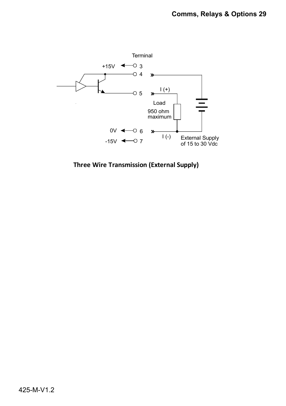

**Three Wire Transmission (External Supply)**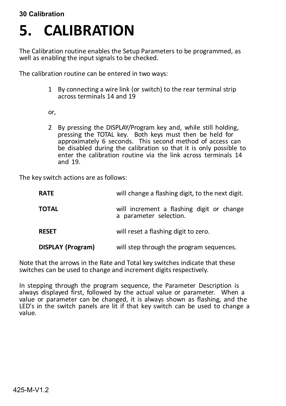# **5. CALIBRATION**

The Calibration routine enables the Setup Parameters to be programmed, as well as enabling the input signals to be checked.

The calibration routine can be entered in two ways:

1 By connecting a wire link (or switch) to the rear terminal strip across terminals 14 and 19

or,

2 By pressing the DISPLAY/Program key and, while still holding, pressing the TOTAL key. Both keys must then be held for approximately 6 seconds. This second method of access can be disabled during the calibration so that it is only possible to enter the calibration routine via the link across terminals 14 and 19.

The key switch actions are as follows:

| <b>RATE</b>              | will change a flashing digit, to the next digit.                    |
|--------------------------|---------------------------------------------------------------------|
| <b>TOTAL</b>             | will increment a flashing digit or change<br>a parameter selection. |
| <b>RESET</b>             | will reset a flashing digit to zero.                                |
| <b>DISPLAY (Program)</b> | will step through the program sequences.                            |

Note that the arrows in the Rate and Total key switches indicate that these switches can be used to change and increment digits respectively.

In stepping through the program sequence, the Parameter Description is always displayed first, followed by the actual value or parameter. When a value or parameter can be changed, it is always shown as flashing, and the LED's in the switch panels are lit if that key switch can be used to change a value.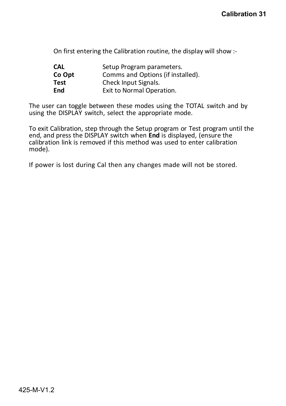On first entering the Calibration routine, the display will show :-

| CAL    | Setup Program parameters.         |
|--------|-----------------------------------|
| Co Opt | Comms and Options (if installed). |
| Test   | Check Input Signals.              |
| End    | Exit to Normal Operation.         |

The user can toggle between these modes using the TOTAL switch and by using the DISPLAY switch, select the appropriate mode.

To exit Calibration, step through the Setup program or Test program until the end, and press the DISPLAY switch when **End** is displayed, (ensure the calibration link is removed if this method was used to enter calibration mode).

If power is lost during Cal then any changes made will not be stored.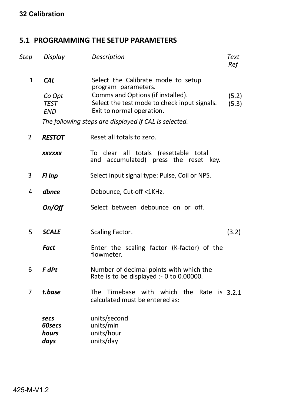# **5.1 PROGRAMMING THE SETUP PARAMETERS**

| Step           | Display                                           | Description                                                                                                                                                                 | Text<br>Ref    |
|----------------|---------------------------------------------------|-----------------------------------------------------------------------------------------------------------------------------------------------------------------------------|----------------|
| $\mathbf{1}$   | <b>CAL</b><br>Co Opt<br><b>TEST</b><br><b>END</b> | Select the Calibrate mode to setup<br>program parameters.<br>Comms and Options (if installed).<br>Select the test mode to check input signals.<br>Exit to normal operation. | (5.2)<br>(5.3) |
|                |                                                   | The following steps are displayed if CAL is selected.                                                                                                                       |                |
| $\overline{2}$ | <b>RESTOT</b>                                     | Reset all totals to zero.                                                                                                                                                   |                |
|                | <b>XXXXXX</b>                                     | To clear all totals (resettable total<br>and accumulated) press the reset key.                                                                                              |                |
| 3              | Fl Inp                                            | Select input signal type: Pulse, Coil or NPS.                                                                                                                               |                |
| 4              | dbnce                                             | Debounce, Cut-off <1KHz.                                                                                                                                                    |                |
|                | On/Off                                            | Select between debounce on or off.                                                                                                                                          |                |
| 5              | <b>SCALE</b>                                      | Scaling Factor.                                                                                                                                                             | (3.2)          |
|                | <b>Fact</b>                                       | Enter the scaling factor (K-factor) of the<br>flowmeter.                                                                                                                    |                |
| 6              | <b>F</b> dPt                                      | Number of decimal points with which the<br>Rate is to be displayed :- 0 to 0.00000.                                                                                         |                |
| 7              | t.base                                            | The Timebase with which the<br>Rate<br>is 3.2.1<br>calculated must be entered as:                                                                                           |                |
|                | secs<br>60secs<br>hours<br>days                   | units/second<br>units/min<br>units/hour<br>units/day                                                                                                                        |                |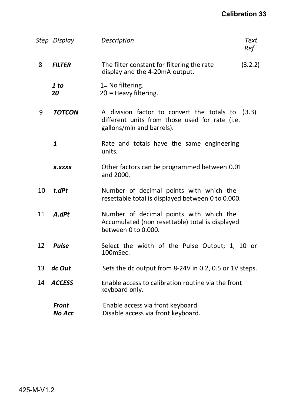|    | Step Display                  | Description                                                                                                                     | Text<br>Ref |
|----|-------------------------------|---------------------------------------------------------------------------------------------------------------------------------|-------------|
| 8  | <b>FILTER</b>                 | The filter constant for filtering the rate<br>display and the 4-20mA output.                                                    | (3.2.2)     |
|    | 1 to<br>20                    | 1= No filtering.<br>$20$ = Heavy filtering.                                                                                     |             |
| 9  | <b>TOTCON</b>                 | A division factor to convert the totals to (3.3)<br>different units from those used for rate (i.e.<br>gallons/min and barrels). |             |
|    | 1                             | Rate and totals have the same engineering<br>units.                                                                             |             |
|    | <b>X.XXXX</b>                 | Other factors can be programmed between 0.01<br>and 2000.                                                                       |             |
| 10 | t.dPt                         | Number of decimal points with which the<br>resettable total is displayed between 0 to 0.000.                                    |             |
| 11 | A.dPt                         | Number of decimal points with which the<br>Accumulated (non resettable) total is displayed<br>between 0 to 0.000.               |             |
| 12 | <b>Pulse</b>                  | Select the width of the Pulse Output; 1, 10 or<br>100mSec.                                                                      |             |
| 13 | dc Out                        | Sets the dc output from 8-24V in 0.2, 0.5 or 1V steps.                                                                          |             |
| 14 | <b>ACCESS</b>                 | Enable access to calibration routine via the front<br>keyboard only.                                                            |             |
|    | <b>Front</b><br><b>No Acc</b> | Enable access via front keyboard.<br>Disable access via front keyboard.                                                         |             |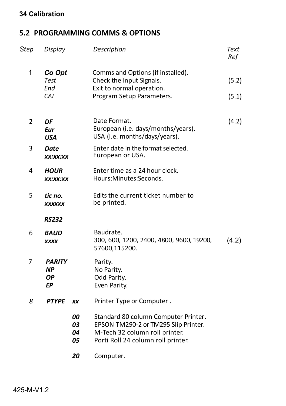# **5.2 PROGRAMMING COMMS & OPTIONS**

| <b>Step</b>    | Display                             | Description                                                                                                                                          | Text<br>Ref    |
|----------------|-------------------------------------|------------------------------------------------------------------------------------------------------------------------------------------------------|----------------|
| 1              | Co Opt<br><b>Test</b><br>End<br>CAL | Comms and Options (if installed).<br>Check the Input Signals.<br>Exit to normal operation.<br>Program Setup Parameters.                              | (5.2)<br>(5.1) |
| $\overline{2}$ | DF<br><b>Eur</b><br><b>USA</b>      | Date Format.<br>European (i.e. days/months/years).<br>USA (i.e. months/days/years).                                                                  | (4.2)          |
| 3              | Date<br>XX:XX:XX                    | Enter date in the format selected.<br>European or USA.                                                                                               |                |
| 4              | <b>HOUR</b><br>XX:XX:XX             | Enter time as a 24 hour clock.<br>Hours:Minutes:Seconds.                                                                                             |                |
| 5              | tic no.<br><b>XXXXXX</b>            | Edits the current ticket number to<br>be printed.                                                                                                    |                |
|                | <b>RS232</b>                        |                                                                                                                                                      |                |
| 6              | <i><b>BAUD</b></i><br><b>XXXX</b>   | Baudrate.<br>300, 600, 1200, 2400, 4800, 9600, 19200,<br>57600,115200.                                                                               | (4.2)          |
| 7              | <b>PARITY</b><br>ΝP<br>ΟP<br>EP     | Parity.<br>No Parity.<br>Odd Parity.<br>Even Parity.                                                                                                 |                |
| 8              | <b>PTYPE</b><br>XX                  | Printer Type or Computer.                                                                                                                            |                |
|                | 00<br>03<br>04<br>05                | Standard 80 column Computer Printer.<br>EPSON TM290-2 or TM295 Slip Printer.<br>M-Tech 32 column roll printer.<br>Porti Roll 24 column roll printer. |                |
|                | 20                                  | Computer.                                                                                                                                            |                |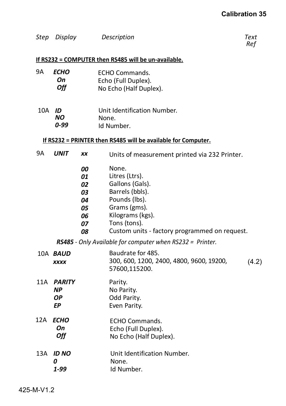| Step Display | Description | Text |
|--------------|-------------|------|
|              |             | Ref  |

 *Ref*

#### **If RS232 = COMPUTER then RS485 will be un-available.**

| 9А  | ECHO<br>On<br>Off |           | ECHO Commands.<br>Echo (Full Duplex).<br>No Echo (Half Duplex). |
|-----|-------------------|-----------|-----------------------------------------------------------------|
| 10A | ID<br>NO.<br>0-99 |           | Unit Identification Number.<br>None.<br>Id Number.              |
|     |                   |           | If RS232 = PRINTER then RS485 will be available for Computer.   |
| 9Α  | <b>UNIT</b>       | <b>XX</b> | Units of measurement printed via 232 Printer.                   |
|     |                   | 00        | None.                                                           |
|     |                   | 01        | Litres (Ltrs).                                                  |
|     |                   | 02        | Gallons (Gals).                                                 |
|     |                   | 03        | Barrels (bbls).                                                 |
|     |                   | 04        | Pounds (lbs).                                                   |
|     |                   | 05        | Grams (gms).                                                    |
|     |                   | 06        | Kilograms (kgs).                                                |
|     |                   | 07        | Tons (tons).                                                    |
|     |                   | 08        | Custom units - factory programmed on request.                   |
|     |                   |           |                                                                 |

*RS485 - Only Available for computer when RS232 = Printer.*

- Baudrate for 485. 300, 600, 1200, 2400, 4800, 9600, 19200, 57600,115200. (4.2) 10A *BAUD xxxx*
- 11A *PARITY NP OP EP* Parity. No Parity. Odd Parity. Even Parity.
- 12A *ECHO On Off* ECHO Commands. Echo (Full Duplex). No Echo (Half Duplex).
- 13A *ID NO 0 1-99* Unit Identification Number. None. Id Number.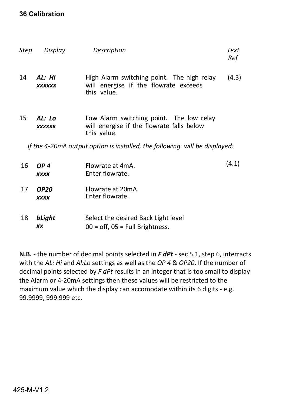| Step | Display                    | Description                                                                                          | Text<br>Ref |
|------|----------------------------|------------------------------------------------------------------------------------------------------|-------------|
| 14   | AL: Hi<br><b>XXXXXX</b>    | High Alarm switching point. The high relay<br>will energise if the flowrate exceeds<br>this value.   | (4.3)       |
| 15   | AL: Lo<br><b>XXXXXX</b>    | Low Alarm switching point. The low relay<br>will energise if the flowrate falls below<br>this value. |             |
|      |                            | If the 4-20mA output option is installed, the following will be displayed:                           |             |
| 16   | OP 4<br><b>XXXX</b>        | Flowrate at 4mA.<br>Enter flowrate.                                                                  | (4.1)       |
| 17   | <b>OP20</b><br><b>XXXX</b> | Flowrate at 20mA.<br>Enter flowrate.                                                                 |             |
| 18   | bLight<br><b>XX</b>        | Select the desired Back Light level<br>$00 =$ off, $05 =$ Full Brightness.                           |             |

**N.B.** - the number of decimal points selected in *F dPt* - sec 5.1, step 6, interracts with the *AL: Hi* and *Al:Lo* settings as well as the *OP 4* & *OP20*. If the number of decimal points selected by *F dPt* results in an integer that is too small to display the Alarm or 4-20mA settings then these values will be restricted to the maximum value which the display can accomodate within its 6 digits - e.g. 99.9999, 999.999 etc.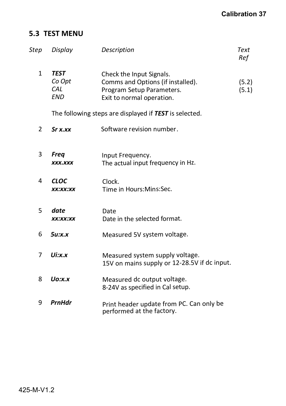# **5.3 TEST MENU**

| Step | Display                                    | Description                                                                                                             | Text<br>Ref    |
|------|--------------------------------------------|-------------------------------------------------------------------------------------------------------------------------|----------------|
| 1    | <b>TEST</b><br>Co Opt<br>CAL<br><b>END</b> | Check the Input Signals.<br>Comms and Options (if installed).<br>Program Setup Parameters.<br>Exit to normal operation. | (5.2)<br>(5.1) |
|      |                                            | The following steps are displayed if TEST is selected.                                                                  |                |
| 2    | Sr X.                                      | Software revision number.                                                                                               |                |
|      |                                            |                                                                                                                         |                |
| 3    | <b>Freq</b><br><b>XXX.XXX</b>              | Input Frequency.<br>The actual input frequency in Hz.                                                                   |                |
| 4    | <b>CLOC</b><br>XX:XX:XX                    | Clock.<br>Time in Hours: Mins: Sec.                                                                                     |                |
| 5    | date<br>XX:XX:XX                           | Date<br>Date in the selected format.                                                                                    |                |
| 6    | $5u$ :x.x                                  | Measured 5V system voltage.                                                                                             |                |
| 7    | $U$ i:x.x                                  | Measured system supply voltage.<br>15V on mains supply or 12-28.5V if dc input.                                         |                |
| 8    | $Uo:$ x.x                                  | Measured dc output voltage.<br>8-24V as specified in Cal setup.                                                         |                |
| 9    | PrnHdr                                     | Print header update from PC. Can only be<br>performed at the factory.                                                   |                |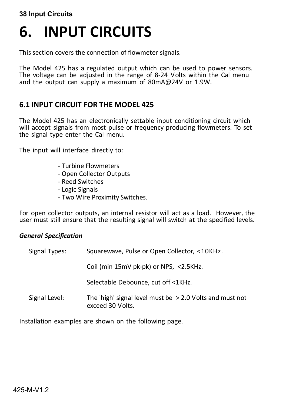#### **38 Input Circuits**

# **6. INPUT CIRCUITS**

This section covers the connection of flowmeter signals.

The Model 425 has a regulated output which can be used to power sensors. The voltage can be adjusted in the range of 8-24 Volts within the Cal menu and the output can supply a maximum of 80mA@24V or 1.9W.

# **6.1 INPUT CIRCUIT FOR THE MODEL 425**

The Model 425 has an electronically settable input conditioning circuit which will accept signals from most pulse or frequency producing flowmeters. To set the signal type enter the Cal menu.

The input will interface directly to:

- Turbine Flowmeters
- Open Collector Outputs
- Reed Switches
- Logic Signals
- Two Wire Proximity Switches.

For open collector outputs, an internal resistor will act as a load. However, the user must still ensure that the resulting signal will switch at the specified levels.

#### *General Specification*

| Signal Types: | Squarewave, Pulse or Open Collector, <10KHz.                                   |  |
|---------------|--------------------------------------------------------------------------------|--|
|               | Coil (min 15mV pk-pk) or NPS, <2.5KHz.                                         |  |
|               | Selectable Debounce, cut off <1KHz.                                            |  |
| Signal Level: | The 'high' signal level must be $> 2.0$ Volts and must not<br>exceed 30 Volts. |  |

Installation examples are shown on the following page.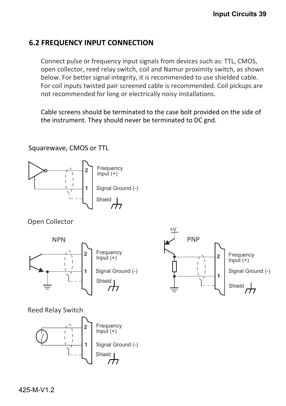# **6.2 FREQUENCY INPUT CONNECTION**

Connect pulse or frequency input signals from devices such as: TTL, CMOS, open collector, reed relay switch, coil and Namur proximity switch, as shown below. For better signal integrity, it is recommended to use shielded cable. For coil inputs twisted pair screened cable is recommended. Coil pickups are not recommended for long or electrically noisy installations.

Cable screens should be terminated to the case bolt provided on the side of the instrument. They should never be terminated to DC gnd.

Squarewave, CMOS or TTL



Open Collector



Reed Relay Switch



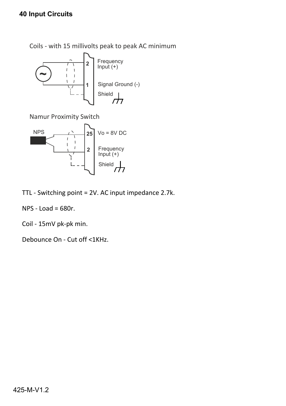# **40 Input Circuits**

Coils - with 15 millivolts peak to peak AC minimum



Namur Proximity Switch



TTL - Switching point = 2V. AC input impedance 2.7k.

NPS - Load = 680r.

Coil - 15mV pk-pk min.

Debounce On - Cut off <1KHz.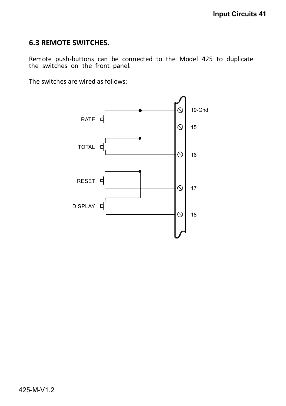# **6.3 REMOTE SWITCHES.**

Remote push-buttons can be connected to the Model 425 to duplicate the switches on the front panel.

The switches are wired as follows:

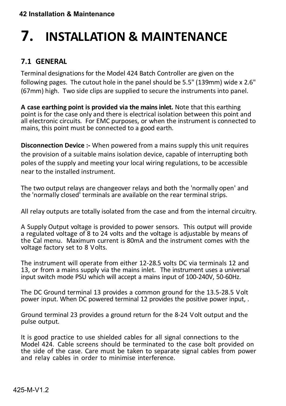# **7. INSTALLATION & MAINTENANCE**

# **7.1 GENERAL**

Terminal designations for the Model 424 Batch Controller are given on the following pages. The cutout hole in the panel should be 5.5" (139mm) wide x 2.6" (67mm) high. Two side clips are supplied to secure the instruments into panel.

**A case earthing point is provided via the mains inlet.** Note that this earthing point is for the case only and there is electrical isolation between this point and all electronic circuits. For EMC purposes, or when the instrument is connected to mains, this point must be connected to a good earth.

**Disconnection Device :-** When powered from a mains supply this unit requires the provision of a suitable mains isolation device, capable of interrupting both poles of the supply and meeting your local wiring regulations, to be accessible near to the installed instrument.

The two output relays are changeover relays and both the 'normally open' and the 'normally closed' terminals are available on the rear terminal strips.

All relay outputs are totally isolated from the case and from the internal circuitry.

A Supply Output voltage is provided to power sensors. This output will provide a regulated voltage of 8 to 24 volts and the voltage is adjustable by means of the Cal menu. Maximum current is 80mA and the instrument comes with the voltage factory set to 8 Volts.

The instrument will operate from either 12-28.5 volts DC via terminals 12 and 13, or from a mains supply via the mains inlet. The instrument uses a universal input switch mode PSU which will accept a mains input of 100-240V, 50-60Hz.

The DC Ground terminal 13 provides a common ground for the 13.5-28.5 Volt power input. When DC powered terminal 12 provides the positive power input, .

Ground terminal 23 provides a ground return for the 8-24 Volt output and the pulse output.

It is good practice to use shielded cables for all signal connections to the Model 424. Cable screens should be terminated to the case bolt provided on the side of the case. Care must be taken to separate signal cables from power and relay cables in order to minimise interference.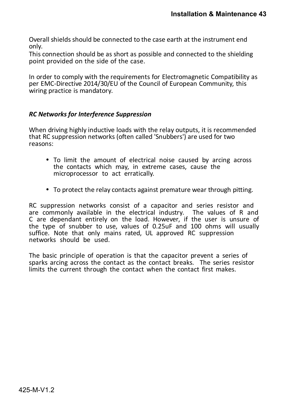Overall shields should be connected to the case earth at the instrument end only.

This connection should be as short as possible and connected to the shielding point provided on the side of the case.

In order to comply with the requirements for Electromagnetic Compatibility as per EMC-Directive 2014/30/EU of the Council of European Community, this wiring practice is mandatory.

#### *RC Networks for Interference Suppression*

When driving highly inductive loads with the relay outputs, it is recommended that RC suppression networks (often called 'Snubbers') are used for two reasons:

- To limit the amount of electrical noise caused by arcing across the contacts which may, in extreme cases, cause the microprocessor to act erratically.
- To protect the relay contacts against premature wear through pitting.

RC suppression networks consist of a capacitor and series resistor and are commonly available in the electrical industry. The values of R and C are dependant entirely on the load. However, if the user is unsure of the type of snubber to use, values of 0.25uF and 100 ohms will usually suffice. Note that only mains rated, UL approved RC suppression networks should be used.

The basic principle of operation is that the capacitor prevent a series of sparks arcing across the contact as the contact breaks. The series resistor limits the current through the contact when the contact first makes.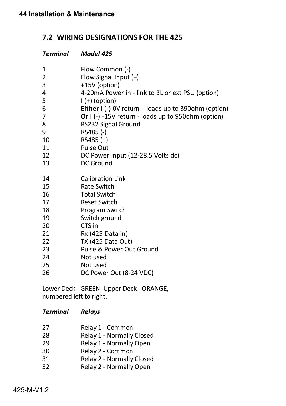# **7.2 WIRING DESIGNATIONS FOR THE 425**

| <b>Terminal</b> | Model 425                                            |
|-----------------|------------------------------------------------------|
| 1               | Flow Common (-)                                      |
| $\overline{2}$  | Flow Signal Input (+)                                |
| 3               | +15V (option)                                        |
| 4               | 4-20mA Power in - link to 3L or ext PSU (option)     |
| 5               | $\left( +\right)$ (option)                           |
| 6               | Either I (-) OV return - loads up to 390ohm (option) |
| 7               | Or I (-) -15V return - loads up to 950ohm (option)   |
| 8               | RS232 Signal Ground                                  |
| 9               | RS485 (-)                                            |
| 10              | $RS485 (+)$                                          |
| 11              | Pulse Out                                            |
| 12              | DC Power Input (12-28.5 Volts dc)                    |
| 13              | DC Ground                                            |
| 14              | <b>Calibration Link</b>                              |
| 15              | Rate Switch                                          |
| 16              | <b>Total Switch</b>                                  |
| 17              | <b>Reset Switch</b>                                  |
| 18              | Program Switch                                       |
| 19              | Switch ground                                        |
| 20              | CTS in                                               |
| 21              | Rx (425 Data in)                                     |
| 22              | TX (425 Data Out)                                    |
| 23              | Pulse & Power Out Ground                             |
| 24              | Not used                                             |
| 25              | Not used                                             |
| 26              | DC Power Out (8-24 VDC)                              |

Lower Deck - GREEN. Upper Deck - ORANGE, numbered left to right.

#### *Terminal Relays*

| 27 | Relay 1 - Common          |
|----|---------------------------|
| 28 | Relay 1 - Normally Closed |

- 29 Relay 1 Normally Open<br>30 Relay 2 Common
- Relay 2 Common
- 31 Relay 2 Normally Closed
- 32 Relay 2 Normally Open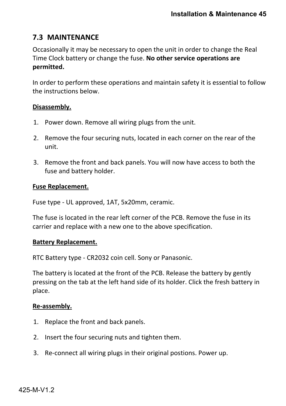# **7.3 MAINTENANCE**

Occasionally it may be necessary to open the unit in order to change the Real Time Clock battery or change the fuse. **No other service operations are permitted.**

In order to perform these operations and maintain safety it is essential to follow the instructions below.

#### **Disassembly.**

- 1. Power down. Remove all wiring plugs from the unit.
- 2. Remove the four securing nuts, located in each corner on the rear of the unit.
- 3. Remove the front and back panels. You will now have access to both the fuse and battery holder.

#### **Fuse Replacement.**

Fuse type - UL approved, 1AT, 5x20mm, ceramic.

The fuse is located in the rear left corner of the PCB. Remove the fuse in its carrier and replace with a new one to the above specification.

#### **Battery Replacement.**

RTC Battery type - CR2032 coin cell. Sony or Panasonic.

The battery is located at the front of the PCB. Release the battery by gently pressing on the tab at the left hand side of its holder. Click the fresh battery in place.

#### **Re-assembly.**

- 1. Replace the front and back panels.
- 2. Insert the four securing nuts and tighten them.
- 3. Re-connect all wiring plugs in their original postions. Power up.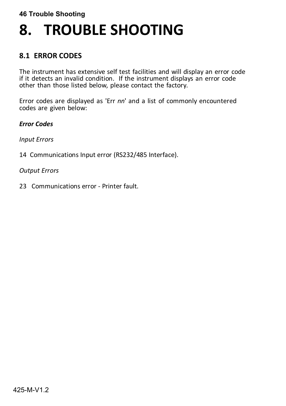# **8. TROUBLE SHOOTING**

# **8.1 ERROR CODES**

The instrument has extensive self test facilities and will display an error code if it detects an invalid condition. If the instrument displays an error code other than those listed below, please contact the factory.

Error codes are displayed as 'Err *nn*' and a list of commonly encountered codes are given below:

*Error Codes*

*Input Errors*

14 Communications Input error (RS232/485 Interface).

*Output Errors*

23 Communications error - Printer fault.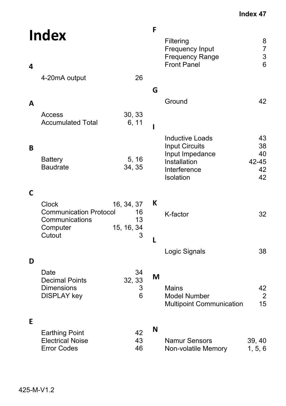| <b>Index</b><br>4 |                                                                        |                        | F<br>Filtering<br>Frequency Input<br><b>Frequency Range</b><br><b>Front Panel</b>                               | 8<br>$\overline{7}$<br>3<br>6       |
|-------------------|------------------------------------------------------------------------|------------------------|-----------------------------------------------------------------------------------------------------------------|-------------------------------------|
|                   | 4-20mA output                                                          | 26                     |                                                                                                                 |                                     |
|                   |                                                                        |                        | G<br>Ground                                                                                                     | 42                                  |
| A                 | Access<br><b>Accumulated Total</b>                                     | 30, 33<br>6, 11<br>ı   |                                                                                                                 |                                     |
| В                 | <b>Battery</b><br><b>Baudrate</b>                                      | 5, 16<br>34, 35        | <b>Inductive Loads</b><br><b>Input Circuits</b><br>Input Impedance<br>Installation<br>Interference<br>Isolation | 43<br>38<br>40<br>42-45<br>42<br>42 |
| $\mathsf{C}$      | Clock                                                                  | 16, 34, 37             | К                                                                                                               |                                     |
|                   | <b>Communication Protocol</b><br>Communications<br>Computer            | 16<br>13<br>15, 16, 34 | K-factor                                                                                                        | 32                                  |
|                   | Cutout                                                                 | 3<br>L                 |                                                                                                                 |                                     |
| D                 |                                                                        |                        | Logic Signals                                                                                                   | 38                                  |
|                   | Date<br><b>Decimal Points</b><br>Dimensions<br><b>DISPLAY key</b>      | 34<br>32, 33<br>3<br>6 | M<br>Mains<br><b>Model Number</b><br><b>Multipoint Communication</b>                                            | 42<br>$\overline{2}$<br>15          |
| E                 | <b>Earthing Point</b><br><b>Electrical Noise</b><br><b>Error Codes</b> | 42<br>43<br>46         | N<br><b>Namur Sensors</b><br>Non-volatile Memory                                                                | 39, 40<br>1, 5, 6                   |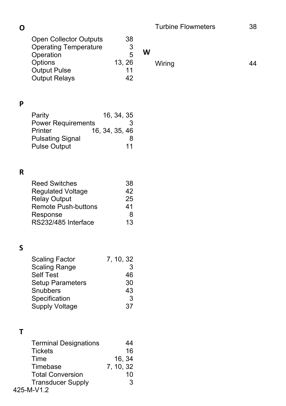**O**

| v |                                                                                                                                             |                              |                                 |   | <u>,,,,,,,,,,,,,</u> | ◡◡ |
|---|---------------------------------------------------------------------------------------------------------------------------------------------|------------------------------|---------------------------------|---|----------------------|----|
|   | Open Collector Outputs<br><b>Operating Temperature</b><br>Operation<br>Options<br><b>Output Pulse</b><br><b>Output Relays</b>               | 13, 26                       | 38<br>3<br>5<br>11<br>42        | W | Wiring               | 44 |
|   |                                                                                                                                             |                              |                                 |   |                      |    |
| P | Parity<br><b>Power Requirements</b><br>Printer<br><b>Pulsating Signal</b><br><b>Pulse Output</b>                                            | 16, 34, 35<br>16, 34, 35, 46 | 3<br>8<br>11                    |   |                      |    |
| R |                                                                                                                                             |                              |                                 |   |                      |    |
|   | <b>Reed Switches</b><br><b>Regulated Voltage</b><br><b>Relay Output</b><br><b>Remote Push-buttons</b><br>Response<br>RS232/485 Interface    |                              | 38<br>42<br>25<br>41<br>8<br>13 |   |                      |    |
| S | <b>Scaling Factor</b><br><b>Scaling Range</b><br><b>Self Test</b><br>Setup Parameters<br>Snubbers<br>Specification<br><b>Supply Voltage</b> | 7, 10, 32                    | 3<br>46<br>30<br>43<br>3<br>37  |   |                      |    |
|   |                                                                                                                                             |                              |                                 |   |                      |    |
| Τ | <b>Terminal Designations</b><br><b>Tickets</b><br>Time<br>Timebase<br><b>Total Conversion</b><br><b>Transducer Supply</b>                   | 16, 34<br>7, 10, 32          | 44<br>16<br>10<br>3             |   |                      |    |